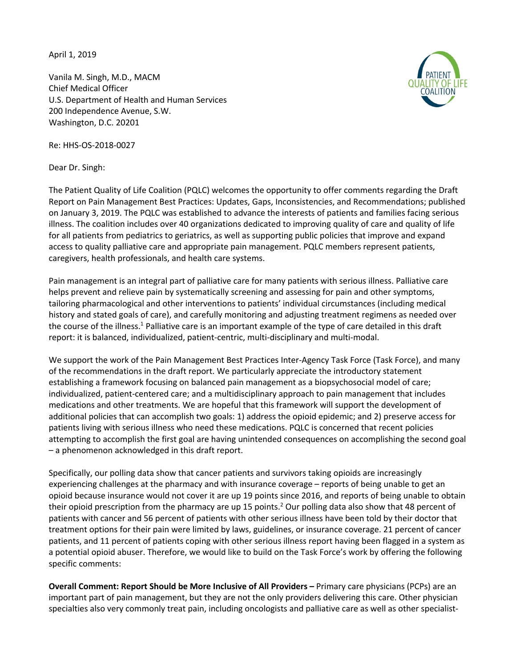April 1, 2019

Vanila M. Singh, M.D., MACM Chief Medical Officer U.S. Department of Health and Human Services 200 Independence Avenue, S.W. Washington, D.C. 20201



Dear Dr. Singh:

The Patient Quality of Life Coalition (PQLC) welcomes the opportunity to offer comments regarding the Draft Report on Pain Management Best Practices: Updates, Gaps, Inconsistencies, and Recommendations; published on January 3, 2019. The PQLC was established to advance the interests of patients and families facing serious illness. The coalition includes over 40 organizations dedicated to improving quality of care and quality of life for all patients from pediatrics to geriatrics, as well as supporting public policies that improve and expand access to quality palliative care and appropriate pain management. PQLC members represent patients, caregivers, health professionals, and health care systems.

Pain management is an integral part of palliative care for many patients with serious illness. Palliative care helps prevent and relieve pain by systematically screening and assessing for pain and other symptoms, tailoring pharmacological and other interventions to patients' individual circumstances (including medical history and stated goals of care), and carefully monitoring and adjusting treatment regimens as needed over the course of the illness.<sup>1</sup> Palliative care is an important example of the type of care detailed in this draft report: it is balanced, individualized, patient-centric, multi-disciplinary and multi-modal.

We support the work of the Pain Management Best Practices Inter-Agency Task Force (Task Force), and many of the recommendations in the draft report. We particularly appreciate the introductory statement establishing a framework focusing on balanced pain management as a biopsychosocial model of care; individualized, patient-centered care; and a multidisciplinary approach to pain management that includes medications and other treatments. We are hopeful that this framework will support the development of additional policies that can accomplish two goals: 1) address the opioid epidemic; and 2) preserve access for patients living with serious illness who need these medications. PQLC is concerned that recent policies attempting to accomplish the first goal are having unintended consequences on accomplishing the second goal – a phenomenon acknowledged in this draft report.

Specifically, our polling data show that cancer patients and survivors taking opioids are increasingly experiencing challenges at the pharmacy and with insurance coverage – reports of being unable to get an opioid because insurance would not cover it are up 19 points since 2016, and reports of being unable to obtain their opioid prescription from the pharmacy are up 15 points.<sup>2</sup> Our polling data also show that 48 percent of patients with cancer and 56 percent of patients with other serious illness have been told by their doctor that treatment options for their pain were limited by laws, guidelines, or insurance coverage. 21 percent of cancer patients, and 11 percent of patients coping with other serious illness report having been flagged in a system as a potential opioid abuser. Therefore, we would like to build on the Task Force's work by offering the following specific comments:

**Overall Comment: Report Should be More Inclusive of All Providers –** Primary care physicians (PCPs) are an important part of pain management, but they are not the only providers delivering this care. Other physician specialties also very commonly treat pain, including oncologists and palliative care as well as other specialist-

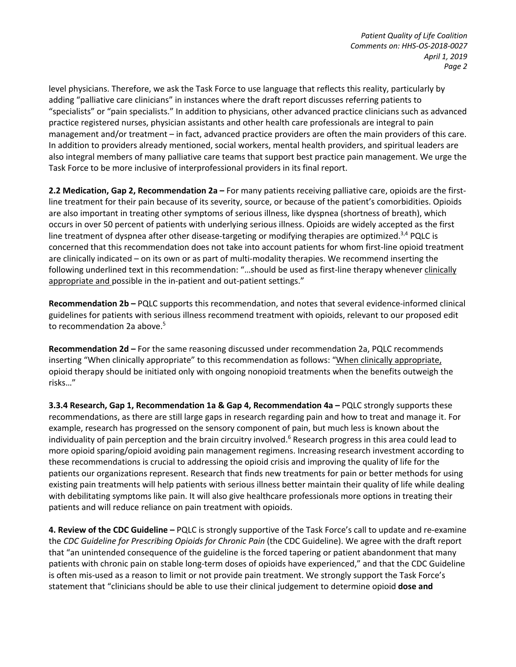level physicians. Therefore, we ask the Task Force to use language that reflects this reality, particularly by adding "palliative care clinicians" in instances where the draft report discusses referring patients to "specialists" or "pain specialists." In addition to physicians, other advanced practice clinicians such as advanced practice registered nurses, physician assistants and other health care professionals are integral to pain management and/or treatment – in fact, advanced practice providers are often the main providers of this care. In addition to providers already mentioned, social workers, mental health providers, and spiritual leaders are also integral members of many palliative care teams that support best practice pain management. We urge the Task Force to be more inclusive of interprofessional providers in its final report.

**2.2 Medication, Gap 2, Recommendation 2a –** For many patients receiving palliative care, opioids are the firstline treatment for their pain because of its severity, source, or because of the patient's comorbidities. Opioids are also important in treating other symptoms of serious illness, like dyspnea (shortness of breath), which occurs in over 50 percent of patients with underlying serious illness. Opioids are widely accepted as the first line treatment of dyspnea after other disease-targeting or modifying therapies are optimized. $3,4$  PQLC is concerned that this recommendation does not take into account patients for whom first-line opioid treatment are clinically indicated – on its own or as part of multi-modality therapies. We recommend inserting the following underlined text in this recommendation: "...should be used as first-line therapy whenever clinically appropriate and possible in the in-patient and out-patient settings."

**Recommendation 2b –** PQLC supports this recommendation, and notes that several evidence-informed clinical guidelines for patients with serious illness recommend treatment with opioids, relevant to our proposed edit to recommendation 2a above.<sup>5</sup>

**Recommendation 2d –** For the same reasoning discussed under recommendation 2a, PQLC recommends inserting "When clinically appropriate" to this recommendation as follows: "When clinically appropriate, opioid therapy should be initiated only with ongoing nonopioid treatments when the benefits outweigh the risks…"

**3.3.4 Research, Gap 1, Recommendation 1a & Gap 4, Recommendation 4a –** PQLC strongly supports these recommendations, as there are still large gaps in research regarding pain and how to treat and manage it. For example, research has progressed on the sensory component of pain, but much less is known about the individuality of pain perception and the brain circuitry involved.<sup>6</sup> Research progress in this area could lead to more opioid sparing/opioid avoiding pain management regimens. Increasing research investment according to these recommendations is crucial to addressing the opioid crisis and improving the quality of life for the patients our organizations represent. Research that finds new treatments for pain or better methods for using existing pain treatments will help patients with serious illness better maintain their quality of life while dealing with debilitating symptoms like pain. It will also give healthcare professionals more options in treating their patients and will reduce reliance on pain treatment with opioids.

**4. Review of the CDC Guideline –** PQLC is strongly supportive of the Task Force's call to update and re-examine the *CDC Guideline for Prescribing Opioids for Chronic Pain* (the CDC Guideline). We agree with the draft report that "an unintended consequence of the guideline is the forced tapering or patient abandonment that many patients with chronic pain on stable long-term doses of opioids have experienced," and that the CDC Guideline is often mis-used as a reason to limit or not provide pain treatment. We strongly support the Task Force's statement that "clinicians should be able to use their clinical judgement to determine opioid **dose and**